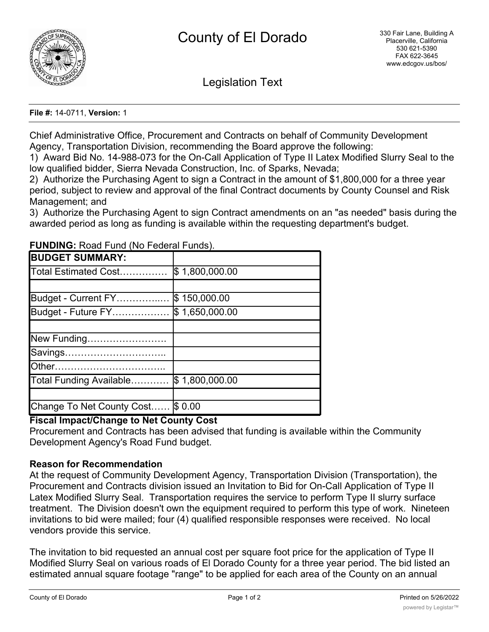

Legislation Text

#### **File #:** 14-0711, **Version:** 1

Chief Administrative Office, Procurement and Contracts on behalf of Community Development Agency, Transportation Division, recommending the Board approve the following:

1) Award Bid No. 14-988-073 for the On-Call Application of Type II Latex Modified Slurry Seal to the low qualified bidder, Sierra Nevada Construction, Inc. of Sparks, Nevada;

2) Authorize the Purchasing Agent to sign a Contract in the amount of \$1,800,000 for a three year period, subject to review and approval of the final Contract documents by County Counsel and Risk Management; and

3) Authorize the Purchasing Agent to sign Contract amendments on an "as needed" basis during the awarded period as long as funding is available within the requesting department's budget.

| <b>BUDGET SUMMARY:</b>    |                |
|---------------------------|----------------|
| Total Estimated Cost      | \$1,800,000.00 |
|                           |                |
| Budget - Current FY       | \$150,000.00   |
| Budget - Future FY        | \$1,650,000.00 |
|                           |                |
| New Funding               |                |
| Savings                   |                |
|                           |                |
| Total Funding Available   | \$1,800,000.00 |
|                           |                |
| Change To Net County Cost | \$0.00         |

**FUNDING:** Road Fund (No Federal Funds).

# **Fiscal Impact/Change to Net County Cost**

Procurement and Contracts has been advised that funding is available within the Community Development Agency's Road Fund budget.

# **Reason for Recommendation**

At the request of Community Development Agency, Transportation Division (Transportation), the Procurement and Contracts division issued an Invitation to Bid for On-Call Application of Type II Latex Modified Slurry Seal. Transportation requires the service to perform Type II slurry surface treatment. The Division doesn't own the equipment required to perform this type of work. Nineteen invitations to bid were mailed; four (4) qualified responsible responses were received. No local vendors provide this service.

The invitation to bid requested an annual cost per square foot price for the application of Type II Modified Slurry Seal on various roads of El Dorado County for a three year period. The bid listed an estimated annual square footage "range" to be applied for each area of the County on an annual